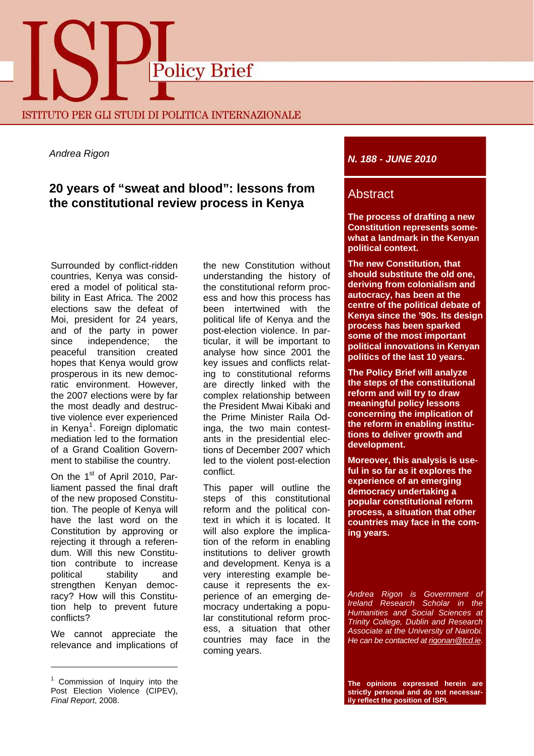

*Andrea Rigon* 

# **20 years of "sweat and blood": lessons from the constitutional review process in Kenya**

Surrounded by conflict-ridden countries, Kenya was considered a model of political stability in East Africa. The 2002 elections saw the defeat of Moi, president for 24 years, and of the party in power since independence; the peaceful transition created hopes that Kenya would grow prosperous in its new democratic environment. However, the 2007 elections were by far the most deadly and destructive violence ever experienced in Kenya<sup>[1](#page-0-0)</sup>. Foreign diplomatic mediation led to the formation of a Grand Coalition Government to stabilise the country.

On the 1<sup>st</sup> of April 2010, Parliament passed the final draft of the new proposed Constitution. The people of Kenya will have the last word on the Constitution by approving or rejecting it through a referendum. Will this new Constitution contribute to increase political stability and strengthen Kenyan democracy? How will this Constitution help to prevent future conflicts?

We cannot appreciate the relevance and implications of

the new Constitution without understanding the history of the constitutional reform process and how this process has been intertwined with the political life of Kenya and the post-election violence. In particular, it will be important to analyse how since 2001 the key issues and conflicts relating to constitutional reforms are directly linked with the complex relationship between the President Mwai Kibaki and the Prime Minister Raila Odinga, the two main contestants in the presidential elections of December 2007 which led to the violent post-election conflict.

This paper will outline the steps of this constitutional reform and the political context in which it is located. It will also explore the implication of the reform in enabling institutions to deliver growth and development. Kenya is a very interesting example because it represents the experience of an emerging democracy undertaking a popular constitutional reform process, a situation that other countries may face in the coming years.

## *N. 188 - JUNE 2010*

## Abstract

**The process of drafting a new Constitution represents somewhat a landmark in the Kenyan political context.** 

**The new Constitution, that should substitute the old one, deriving from colonialism and autocracy, has been at the centre of the political debate of Kenya since the '90s. Its design process has been sparked some of the most important political innovations in Kenyan politics of the last 10 years.** 

**The Policy Brief will analyze the steps of the constitutional reform and will try to draw meaningful policy lessons concerning the implication of the reform in enabling institutions to deliver growth and development.** 

**Moreover, this analysis is useful in so far as it explores the experience of an emerging democracy undertaking a popular constitutional reform process, a situation that other countries may face in the coming years.** 

*Andrea Rigon is Government of Ireland Research Scholar in the Humanities and Social Sciences at Trinity College, Dublin and Research Associate at the University of Nairobi. He can be contacted at [rigonan@tcd.ie](mailto:rigonan@tcd.ie)*.

**The opinions expressed herein are strictly personal and do not necessarily reflect the position of ISPI.**

<span id="page-0-0"></span><sup>&</sup>lt;sup>1</sup> Commission of Inquiry into the Post Election Violence (CIPEV), *Final Report*, 2008.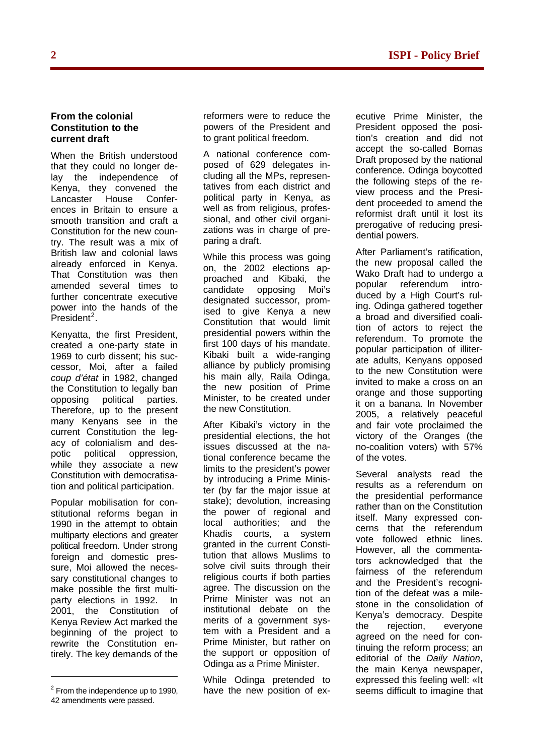#### **From the colonial Constitution to the current draft**

When the British understood that they could no longer delay the independence of Kenya, they convened the Lancaster House Conferences in Britain to ensure a smooth transition and craft a Constitution for the new country. The result was a mix of British law and colonial laws already enforced in Kenya. That Constitution was then amended several times to further concentrate executive power into the hands of the .<br>President<sup>[2](#page-1-0)</sup>.

Kenyatta, the first President, created a one-party state in 1969 to curb dissent; his successor, Moi, after a failed *coup d'état* in 1982, changed the Constitution to legally ban opposing political parties. Therefore, up to the present many Kenyans see in the current Constitution the legacy of colonialism and despotic political oppression, while they associate a new Constitution with democratisation and political participation.

Popular mobilisation for constitutional reforms began in 1990 in the attempt to obtain multiparty elections and greater political freedom. Under strong foreign and domestic pressure, Moi allowed the necessary constitutional changes to make possible the first multiparty elections in 1992. In 2001, the Constitution of Kenya Review Act marked the beginning of the project to rewrite the Constitution entirely. The key demands of the

reformers were to reduce the powers of the President and to grant political freedom.

A national conference composed of 629 delegates including all the MPs, representatives from each district and political party in Kenya, as well as from religious, professional, and other civil organizations was in charge of preparing a draft.

While this process was going on, the 2002 elections approached and Kibaki, the candidate opposing Moi's designated successor, promised to give Kenya a new Constitution that would limit presidential powers within the first 100 days of his mandate. Kibaki built a wide-ranging alliance by publicly promising his main ally, Raila Odinga, the new position of Prime Minister, to be created under the new Constitution.

After Kibaki's victory in the presidential elections, the hot issues discussed at the national conference became the limits to the president's power by introducing a Prime Minister (by far the major issue at stake); devolution, increasing the power of regional and local authorities; and the Khadis courts, a system granted in the current Constitution that allows Muslims to solve civil suits through their religious courts if both parties agree. The discussion on the Prime Minister was not an institutional debate on the merits of a government system with a President and a Prime Minister, but rather on the support or opposition of Odinga as a Prime Minister.

While Odinga pretended to have the new position of executive Prime Minister, the President opposed the position's creation and did not accept the so-called Bomas Draft proposed by the national conference. Odinga boycotted the following steps of the review process and the President proceeded to amend the reformist draft until it lost its prerogative of reducing presidential powers.

After Parliament's ratification, the new proposal called the Wako Draft had to undergo a popular referendum introduced by a High Court's ruling. Odinga gathered together a broad and diversified coalition of actors to reject the referendum. To promote the popular participation of illiterate adults, Kenyans opposed to the new Constitution were invited to make a cross on an orange and those supporting it on a banana. In November 2005, a relatively peaceful and fair vote proclaimed the victory of the Oranges (the no-coalition voters) with 57% of the votes.

Several analysts read the results as a referendum on the presidential performance rather than on the Constitution itself. Many expressed concerns that the referendum vote followed ethnic lines. However, all the commentators acknowledged that the fairness of the referendum and the President's recognition of the defeat was a milestone in the consolidation of Kenya's democracy. Despite the rejection, everyone agreed on the need for continuing the reform process; an editorial of the *Daily Nation*, the main Kenya newspaper, expressed this feeling well: «It seems difficult to imagine that

<span id="page-1-0"></span> $2$  From the independence up to 1990, 42 amendments were passed.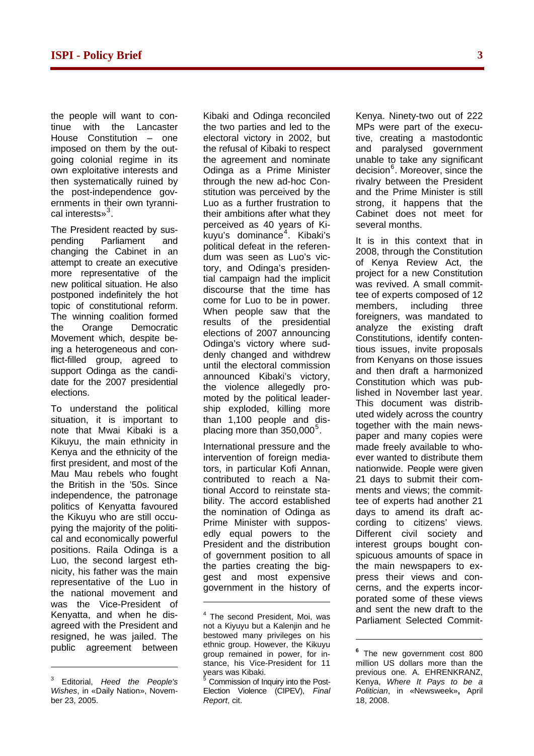the people will want to continue with the Lancaster House Constitution – one imposed on them by the outgoing colonial regime in its own exploitative interests and then systematically ruined by the post-independence governments in their own tyranni-cal interests»<sup>[3](#page-2-0)</sup>.

The President reacted by suspending Parliament and changing the Cabinet in an attempt to create an executive more representative of the new political situation. He also postponed indefinitely the hot topic of constitutional reform. The winning coalition formed the Orange Democratic Movement which, despite being a heterogeneous and conflict-filled group, agreed to support Odinga as the candidate for the 2007 presidential elections.

To understand the political situation, it is important to note that Mwai Kibaki is a Kikuyu, the main ethnicity in Kenya and the ethnicity of the first president, and most of the Mau Mau rebels who fought the British in the '50s. Since independence, the patronage politics of Kenyatta favoured the Kikuyu who are still occupying the majority of the political and economically powerful positions. Raila Odinga is a Luo, the second largest ethnicity, his father was the main representative of the Luo in the national movement and was the Vice-President of Kenyatta, and when he disagreed with the President and resigned, he was jailed. The public agreement between

<span id="page-2-2"></span><span id="page-2-1"></span>

Kibaki and Odinga reconciled the two parties and led to the electoral victory in 2002, but the refusal of Kibaki to respect the agreement and nominate Odinga as a Prime Minister through the new ad-hoc Constitution was perceived by the Luo as a further frustration to their ambitions after what they perceived as 40 years of Ki-.<br>kuyu's dominance<sup>[4](#page-2-1)</sup>. Kibaki's political defeat in the referendum was seen as Luo's victory, and Odinga's presidential campaign had the implicit discourse that the time has come for Luo to be in power. When people saw that the results of the presidential elections of 2007 announcing Odinga's victory where suddenly changed and withdrew until the electoral commission announced Kibaki's victory, the violence allegedly promoted by the political leadership exploded, killing more than 1,100 people and dis-placing more than 3[5](#page-2-0)0,000<sup>5</sup>.

International pressure and the intervention of foreign mediators, in particular Kofi Annan, contributed to reach a National Accord to reinstate stability. The accord established the nomination of Odinga as Prime Minister with supposedly equal powers to the President and the distribution of government position to all the parties creating the biggest and most expensive government in the history of

Kenya. Ninety-two out of 222 MPs were part of the executive, creating a mastodontic and paralysed government unable to take any significant decision<sup>[6](#page-2-2)</sup>. Moreover, since the rivalry between the President and the Prime Minister is still strong, it happens that the Cabinet does not meet for several months.

It is in this context that in 2008, through the Constitution of Kenya Review Act, the project for a new Constitution was revived. A small committee of experts composed of 12 members, including three foreigners, was mandated to analyze the existing draft Constitutions, identify contentious issues, invite proposals from Kenyans on those issues and then draft a harmonized Constitution which was published in November last year. This document was distributed widely across the country together with the main newspaper and many copies were made freely available to whoever wanted to distribute them nationwide. People were given 21 days to submit their comments and views; the committee of experts had another 21 days to amend its draft according to citizens' views. Different civil society and interest groups bought conspicuous amounts of space in the main newspapers to express their views and concerns, and the experts incorporated some of these views and sent the new draft to the Parliament Selected Commit-

 $\overline{a}$ 

<span id="page-2-0"></span><sup>3</sup> Editorial, *Heed the People's Wishes*, in «Daily Nation», November 23, 2005.

<sup>&</sup>lt;sup>4</sup> The second President, Moi, was not a Kiyuyu but a Kalenjin and he bestowed many privileges on his ethnic group. However, the Kikuyu group remained in power, for instance, his Vice-President for 11 years was Kibaki. 5

Commission of Inquiry into the Post-Election Violence (CIPEV), *Final Report*, cit.

**<sup>6</sup>** The new government cost 800 million US dollars more than the previous one. A. EHRENKRANZ, Kenya, *Where It Pays to be a Politician*, in «Newsweek»**,** April 18, 2008.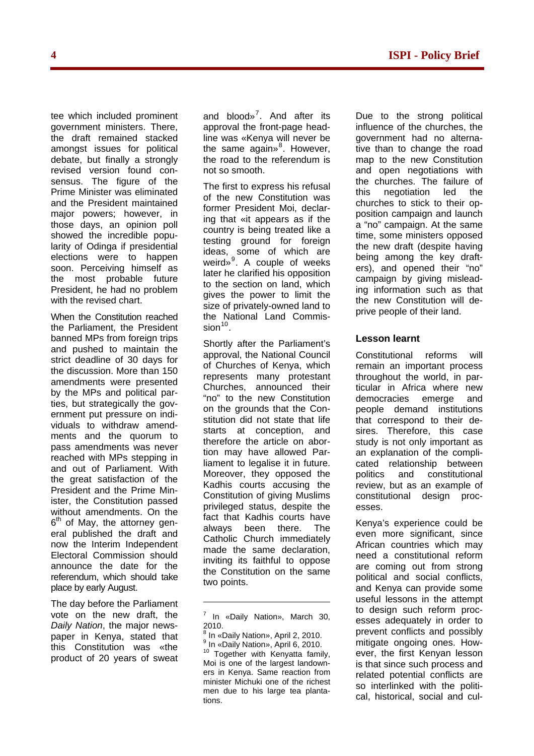tee which included prominent government ministers. There, the draft remained stacked amongst issues for political debate, but finally a strongly revised version found consensus. The figure of the Prime Minister was eliminated and the President maintained major powers; however, in those days, an opinion poll showed the incredible popularity of Odinga if presidential elections were to happen soon. Perceiving himself as the most probable future President, he had no problem with the revised chart.

When the Constitution reached the Parliament, the President banned MPs from foreign trips and pushed to maintain the strict deadline of 30 days for the discussion. More than 150 amendments were presented by the MPs and political parties, but strategically the government put pressure on individuals to withdraw amendments and the quorum to pass amendments was never reached with MPs stepping in and out of Parliament. With the great satisfaction of the President and the Prime Minister, the Constitution passed without amendments. On the  $6<sup>th</sup>$  of May, the attorney general published the draft and now the Interim Independent Electoral Commission should announce the date for the referendum, which should take place by early August.

<span id="page-3-3"></span><span id="page-3-2"></span><span id="page-3-1"></span><span id="page-3-0"></span>The day before the Parliament vote on the new draft, the *Daily Nation*, the major newspaper in Kenya, stated that this Constitution was «the product of 20 years of sweat

and blood»<sup>[7](#page-3-0)</sup>. And after its approval the front-page headline was «Kenya will never be the same again»<sup>[8](#page-3-1)</sup>. However, the road to the referendum is not so smooth.

The first to express his refusal of the new Constitution was former President Moi, declaring that «it appears as if the country is being treated like a testing ground for foreign ideas, some of which are weird»<sup>[9](#page-3-2)</sup>. A couple of weeks later he clarified his opposition to the section on land, which gives the power to limit the size of privately-owned land to the National Land Commis- $sion<sup>10</sup>$  $sion<sup>10</sup>$  $sion<sup>10</sup>$ .

Shortly after the Parliament's approval, the National Council of Churches of Kenya, which represents many protestant Churches, announced their "no" to the new Constitution on the grounds that the Constitution did not state that life starts at conception, and therefore the article on abortion may have allowed Parliament to legalise it in future. Moreover, they opposed the Kadhis courts accusing the Constitution of giving Muslims privileged status, despite the fact that Kadhis courts have always been there. The Catholic Church immediately made the same declaration, inviting its faithful to oppose the Constitution on the same two points.

8 In «Daily Nation», April 2, 2010. 9 In «Daily Nation», April 6, 2010. <sup>10</sup> Together with Kenyatta family, Moi is one of the largest landowners in Kenya. Same reaction from minister Michuki one of the richest men due to his large tea plantations.

Due to the strong political influence of the churches, the government had no alternative than to change the road map to the new Constitution and open negotiations with the churches. The failure of this negotiation led the churches to stick to their opposition campaign and launch a "no" campaign. At the same time, some ministers opposed the new draft (despite having being among the key drafters), and opened their "no" campaign by giving misleading information such as that the new Constitution will deprive people of their land.

### **Lesson learnt**

Constitutional reforms will remain an important process throughout the world, in particular in Africa where new democracies emerge and people demand institutions that correspond to their desires. Therefore, this case study is not only important as an explanation of the complicated relationship between politics and constitutional review, but as an example of constitutional design processes.

Kenya's experience could be even more significant, since African countries which may need a constitutional reform are coming out from strong political and social conflicts, and Kenya can provide some useful lessons in the attempt to design such reform processes adequately in order to prevent conflicts and possibly mitigate ongoing ones. However, the first Kenyan lesson is that since such process and related potential conflicts are so interlinked with the political, historical, social and cul-

 $<sup>7</sup>$  In «Daily Nation», March 30,</sup> 2010.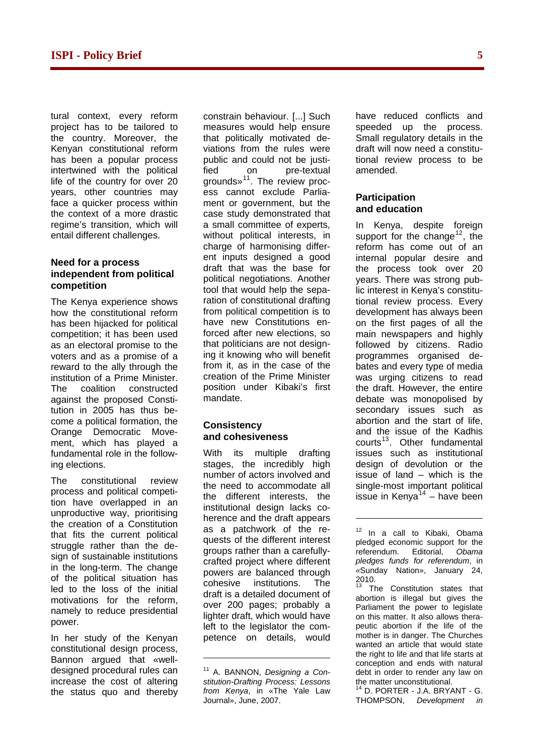tural context, every reform project has to be tailored to the country. Moreover, the Kenyan constitutional reform has been a popular process intertwined with the political life of the country for over 20 years, other countries may face a quicker process within the context of a more drastic regime's transition, which will entail different challenges.

#### **Need for a process independent from political competition**

The Kenya experience shows how the constitutional reform has been hijacked for political competition; it has been used as an electoral promise to the voters and as a promise of a reward to the ally through the institution of a Prime Minister. The coalition constructed against the proposed Constitution in 2005 has thus become a political formation, the Orange Democratic Movement, which has played a fundamental role in the following elections.

<span id="page-4-1"></span>The constitutional review process and political competition have overlapped in an unproductive way, prioritising the creation of a Constitution that fits the current political struggle rather than the design of sustainable institutions in the long-term. The change of the political situation has led to the loss of the initial motivations for the reform, namely to reduce presidential power.

<span id="page-4-3"></span><span id="page-4-2"></span><span id="page-4-0"></span>In her study of the Kenyan constitutional design process, Bannon argued that «welldesigned procedural rules can increase the cost of altering the status quo and thereby

constrain behaviour. [...] Such measures would help ensure that politically motivated deviations from the rules were public and could not be justified on pre-textual grounds»[11](#page-4-0). The review process cannot exclude Parliament or government, but the case study demonstrated that a small committee of experts, without political interests, in charge of harmonising different inputs designed a good draft that was the base for political negotiations. Another tool that would help the separation of constitutional drafting from political competition is to have new Constitutions enforced after new elections, so that politicians are not designing it knowing who will benefit from it, as in the case of the creation of the Prime Minister position under Kibaki's first mandate.

#### **Consistency and cohesiveness**

With its multiple drafting stages, the incredibly high number of actors involved and the need to accommodate all the different interests, the institutional design lacks coherence and the draft appears as a patchwork of the requests of the different interest groups rather than a carefullycrafted project where different powers are balanced through cohesive institutions. The draft is a detailed document of over 200 pages; probably a lighter draft, which would have left to the legislator the competence on details, would

 $\overline{a}$ 

have reduced conflicts and speeded up the process. Small regulatory details in the draft will now need a constitutional review process to be amended.

#### **Participation and education**

In Kenya, despite foreign support for the change<sup>[12](#page-4-1)</sup>, the reform has come out of an internal popular desire and the process took over 20 years. There was strong public interest in Kenya's constitutional review process. Every development has always been on the first pages of all the main newspapers and highly followed by citizens. Radio programmes organised debates and every type of media was urging citizens to read the draft. However, the entire debate was monopolised by secondary issues such as abortion and the start of life, and the issue of the Kadhis courts<sup>[13](#page-4-2)</sup>. Other fundamental issues such as institutional design of devolution or the issue of land – which is the single-most important political issue in Kenya $14$  – have been

<sup>12</sup> In a call to Kibaki, Obama pledged economic support for the referendum. Editorial, *Obama pledges funds for referendum*, in *«*Sunday Nation», January 24, 2010.

-

The Constitution states that abortion is illegal but gives the Parliament the power to legislate on this matter. It also allows therapeutic abortion if the life of the mother is in danger. The Churches wanted an article that would state the right to life and that life starts at conception and ends with natural debt in order to render any law on the matter unconstitutional.

D. PORTER - J.A. BRYANT - G. THOMPSON, *Development in* 

<sup>11</sup> A. BANNON, *Designing a Constitution-Drafting Process: Lessons from Kenya*, in «The Yale Law Journal», June, 2007.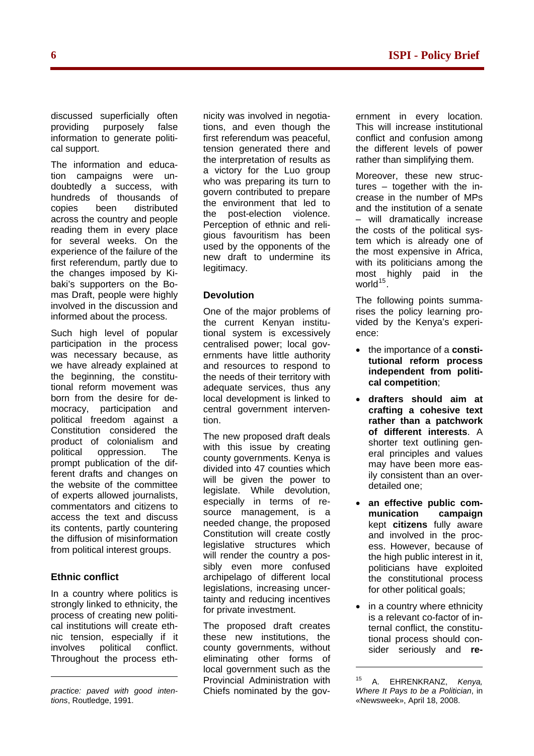discussed superficially often providing purposely false information to generate political support.

The information and education campaigns were undoubtedly a success, with hundreds of thousands of copies been distributed across the country and people reading them in every place for several weeks. On the experience of the failure of the first referendum, partly due to the changes imposed by Kibaki's supporters on the Bomas Draft, people were highly involved in the discussion and informed about the process.

Such high level of popular participation in the process was necessary because, as we have already explained at the beginning, the constitutional reform movement was born from the desire for democracy, participation and political freedom against a Constitution considered the product of colonialism and political oppression. The prompt publication of the different drafts and changes on the website of the committee of experts allowed journalists, commentators and citizens to access the text and discuss its contents, partly countering the diffusion of misinformation from political interest groups.

### **Ethnic conflict**

In a country where politics is strongly linked to ethnicity, the process of creating new political institutions will create ethnic tension, especially if it involves political conflict. Throughout the process ethnicity was involved in negotiations, and even though the first referendum was peaceful, tension generated there and the interpretation of results as a victory for the Luo group who was preparing its turn to govern contributed to prepare the environment that led to the post-election violence. Perception of ethnic and religious favouritism has been used by the opponents of the new draft to undermine its legitimacy.

## **Devolution**

One of the major problems of the current Kenyan institutional system is excessively centralised power; local governments have little authority and resources to respond to the needs of their territory with adequate services, thus any local development is linked to central government intervention.

The new proposed draft deals with this issue by creating county governments. Kenya is divided into 47 counties which will be given the power to legislate. While devolution, especially in terms of resource management, is a needed change, the proposed Constitution will create costly legislative structures which will render the country a possibly even more confused archipelago of different local legislations, increasing uncertainty and reducing incentives for private investment.

The proposed draft creates these new institutions, the county governments, without eliminating other forms of local government such as the Provincial Administration with Chiefs nominated by the government in every location. This will increase institutional conflict and confusion among the different levels of power rather than simplifying them.

Moreover, these new structures – together with the increase in the number of MPs and the institution of a senate – will dramatically increase the costs of the political system which is already one of the most expensive in Africa, with its politicians among the most highly paid in the world<sup>[15](#page-5-0)</sup>.

The following points summarises the policy learning provided by the Kenya's experience:

- the importance of a **constitutional reform process independent from political competition**;
- **drafters should aim at crafting a cohesive text rather than a patchwork of different interests**. A shorter text outlining general principles and values may have been more easily consistent than an overdetailed one;
- **an effective public communication campaign** kept **citizens** fully aware and involved in the process. However, because of the high public interest in it, politicians have exploited the constitutional process for other political goals;
- in a country where ethnicity is a relevant co-factor of internal conflict, the constitutional process should consider seriously and **re-**

1

<span id="page-5-0"></span>*practice: paved with good intentions*, Routledge, 1991.

<sup>15</sup> A. EHRENKRANZ, *Kenya, Where It Pays to be a Politician*, in «Newsweek», April 18, 2008.